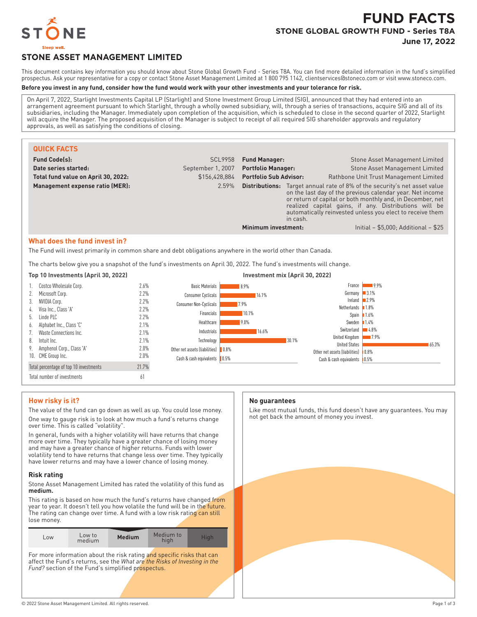

# **FUND FACTS STONE GLOBAL GROWTH FUND - Series T8A June 17, 2022**

# **STONE ASSET MANAGEMENT LIMITED**

This document contains key information you should know about Stone Global Growth Fund - Series T8A. You can find more detailed information in the fund's simplified prospectus. Ask your representative for a copy or contact Stone Asset Management Limited at 1 800 795 1142, clientservices@stoneco.com or visit www.stoneco.com.

#### **Before you invest in any fund, consider how the fund would work with your other investments and your tolerance for risk.**

On April 7, 2022, Starlight Investments Capital LP (Starlight) and Stone Investment Group Limited (SIG), announced that they had entered into an arrangement agreement pursuant to which Starlight, through a wholly owned subsidiary, will, through a series of transactions, acquire SIG and all of its subsidiaries, including the Manager. Immediately upon completion of the acquisition, which is scheduled to close in the second quarter of 2022, Starlight will acquire the Manager. The proposed acquisition of the Manager is subject to receipt of all required SIG shareholder approvals and regulatory approvals, as well as satisfying the conditions of closing.

| <b>QUICK FACTS</b>                                                                                                                            |                   |                               |          |                                                                                                                                                                                                                                                                                                                                   |
|-----------------------------------------------------------------------------------------------------------------------------------------------|-------------------|-------------------------------|----------|-----------------------------------------------------------------------------------------------------------------------------------------------------------------------------------------------------------------------------------------------------------------------------------------------------------------------------------|
| <b>Fund Code(s):</b>                                                                                                                          | <b>SCL9958</b>    | <b>Fund Manager:</b>          |          | <b>Stone Asset Management Limited</b>                                                                                                                                                                                                                                                                                             |
| Date series started:                                                                                                                          | September 1, 2007 | <b>Portfolio Manager:</b>     |          | Stone Asset Management Limited                                                                                                                                                                                                                                                                                                    |
| Total fund value on April 30, 2022:                                                                                                           | \$156.428.884     | <b>Portfolio Sub Advisor:</b> |          | Rathbone Unit Trust Management Limited                                                                                                                                                                                                                                                                                            |
| Management expense ratio (MER):                                                                                                               | 2.59%             |                               | in cash. | <b>Distributions:</b> Target annual rate of 8% of the security's net asset value<br>on the last day of the previous calendar year. Net income<br>or return of capital or both monthly and, in December, net<br>realized capital gains, if any. Distributions will be<br>automatically reinvested unless you elect to receive them |
|                                                                                                                                               |                   | Minimum investment:           |          | Initial - $$5,000$ ; Additional - $$25$                                                                                                                                                                                                                                                                                           |
| What does the fund invest in?<br>The Fund will invest primarily in common share and debt obligations anywhere in the world other than Canada. |                   |                               |          |                                                                                                                                                                                                                                                                                                                                   |

The charts below give you a snapshot of the fund's investments on April 30, 2022. The fund's investments will change.

| Top 10 Investments (April 30, 2022)    |       | Investment mix (April 30, 2022)     |       |       |                                      |                     |       |
|----------------------------------------|-------|-------------------------------------|-------|-------|--------------------------------------|---------------------|-------|
| 1. Costco Wholesale Corp.              | 2.6%  | <b>Basic Materials</b>              | 8.9%  |       | France                               | $-9.9%$             |       |
| 2. Microsoft Corp.                     | 2.2%  | <b>Consumer Cyclicals</b>           | 16.1% |       | Germany 3.1%                         |                     |       |
| 3. NVIDIA Corp.                        | 2.2%  | Consumer Non-Cyclicals              | 17.9% |       | Ireland $2.9\%$                      |                     |       |
| 4. Visa Inc., Class 'A'                | 2.2%  |                                     |       |       | Netherlands $1.8\%$                  |                     |       |
| 5. Linde PLC                           | 2.2%  | Financials                          | 10.1% |       | Spain $1.6%$                         |                     |       |
| 6. Alphabet Inc., Class 'C'            | 2.1%  | Healthcare                          | 9.0%  |       | Sweden $1.4\%$                       |                     |       |
| 7. Waste Connections Inc.              | 2.1%  | Industrials                         | 16.6% |       | Switzerland                          | $\blacksquare$ 4.8% |       |
| Intuit Inc.<br>8.                      | 2.1%  | Technology                          |       | 30.1% | United Kingdom                       | $\blacksquare$ 7.9% |       |
| 9. Amphenol Corp., Class 'A'           | 2.0%  |                                     |       |       | <b>United States</b>                 |                     | 65.3% |
|                                        |       | Other net assets (liabilities) 0.8% |       |       | Other net assets (liabilities) 10.8% |                     |       |
| 10. CME Group Inc.                     | 2.0%  | Cash & cash equivalents   0.5%      |       |       | Cash & cash equivalents   0.5%       |                     |       |
| Total percentage of top 10 investments | 21.7% |                                     |       |       |                                      |                     |       |
| Total number of investments            | 61    |                                     |       |       |                                      |                     |       |

# **How risky is it?**

The value of the fund can go down as well as up. You could lose money. One way to gauge risk is to look at how much a fund's returns change over time. This is called "volatility".

In general, funds with a higher volatility will have returns that change more over time. They typically have a greater chance of losing money and may have a greater chance of higher returns. Funds with lower volatility tend to have returns that change less over time. They typically have lower returns and may have a lower chance of losing money.

#### **Risk rating**

Stone Asset Management Limited has rated the volatility of this fund as **medium.**

This rating is based on how much the fund's returns have changed from year to year. It doesn't tell you how volatile the fund will be in the future. The rating can change over time. A fund with a low risk rating can still lose money.

| Low | Low to<br>medium | <b>Medium</b> | Medium to<br>hiah | <b>High</b> |
|-----|------------------|---------------|-------------------|-------------|
|     |                  |               |                   |             |

For more information about the risk rating and specific risks that can affect the Fund's returns, see the *What are the Risks of Investing in the* Fund? section of the Fund's simplified prospectus.

#### **No guarantees**

Like most mutual funds, this fund doesn't have any guarantees. You may not get back the amount of money you invest.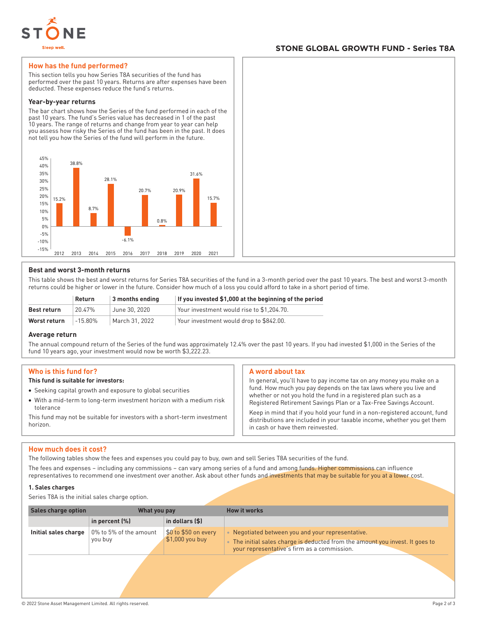

# **STONE GLOBAL GROWTH FUND - Series T8A**

# **How has the fund performed?**

This section tells you how Series T8A securities of the fund has performed over the past 10 years. Returns are after expenses have been deducted. These expenses reduce the fund's returns.

#### **Year-by-year returns**

The bar chart shows how the Series of the fund performed in each of the past 10 years. The fund's Series value has decreased in 1 of the past 10 years. The range of returns and change from year to year can help you assess how risky the Series of the fund has been in the past. It does not tell you how the Series of the fund will perform in the future.



# **Best and worst 3-month returns**

This table shows the best and worst returns for Series T8A securities of the fund in a 3-month period over the past 10 years. The best and worst 3-month returns could be higher or lower in the future. Consider how much of a loss you could afford to take in a short period of time.

|              | Return  | 3 months ending | If you invested \$1,000 at the beginning of the period |
|--------------|---------|-----------------|--------------------------------------------------------|
| Best return  | 20.47%  | June 30, 2020   | Your investment would rise to \$1.204.70.              |
| Worst return | -15.80% | March 31, 2022  | Your investment would drop to \$842.00.                |

# **Average return**

The annual compound return of the Series of the fund was approximately 12.4% over the past 10 years. If you had invested \$1,000 in the Series of the fund 10 years ago, your investment would now be worth \$3,222.23.

# **Who is this fund for?**

#### **This fund is suitable for investors:**

- Seeking capital growth and exposure to global securities
- With a mid-term to long-term investment horizon with a medium risk tolerance

This fund may not be suitable for investors with a short-term investment horizon.

# **A word about tax**

In general, you'll have to pay income tax on any money you make on a fund. How much you pay depends on the tax laws where you live and whether or not you hold the fund in a registered plan such as a Registered Retirement Savings Plan or a Tax-Free Savings Account.

Keep in mind that if you hold your fund in a non-registered account, fund distributions are included in your taxable income, whether you get them in cash or have them reinvested.

# **How much does it cost?**

The following tables show the fees and expenses you could pay to buy, own and sell Series T8A securities of the fund.

The fees and expenses – including any commissions – can vary among series of a fund and among funds. Higher commissions can influence representatives to recommend one investment over another. Ask about other funds and investments that may be suitable for you at a lower cost.

#### **1. Sales charges**

Series T8A is the initial sales charge option.

| <b>Sales charge option</b> | What you pay                      |                                          | <b>How it works</b>                                                                                                                                                                          |
|----------------------------|-----------------------------------|------------------------------------------|----------------------------------------------------------------------------------------------------------------------------------------------------------------------------------------------|
|                            | in percent (%)                    | in dollars (\$)                          |                                                                                                                                                                                              |
| Initial sales charge       | 0% to 5% of the amount<br>you buy | \$0 to \$50 on every<br>$$1,000$ you buy | • Negotiated between you and your representative.<br>The initial sales charge is deducted from the amount you invest. It goes to<br>$\bullet$<br>your representative's firm as a commission. |
|                            |                                   |                                          |                                                                                                                                                                                              |